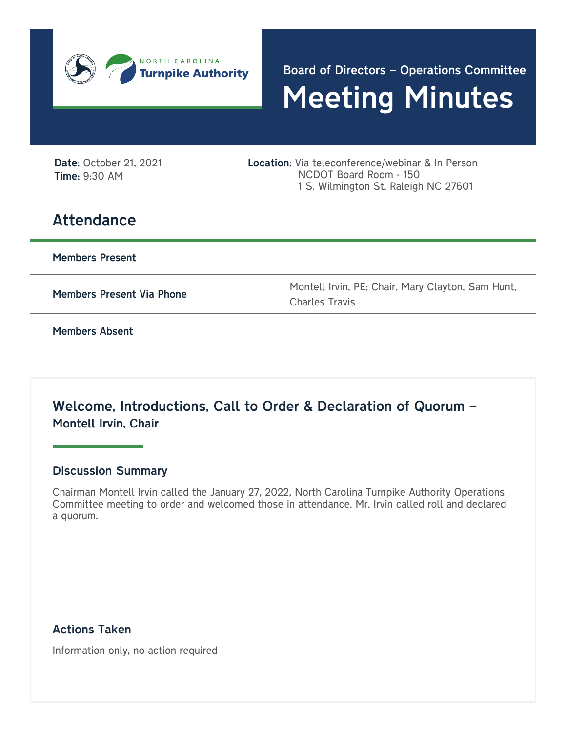

Meeting Minutes Board of Directors – Operations Committee

Date: October 21, 2021 Time: 9:30 AM

Location: Via teleconference/webinar & In Person NCDOT Board Room - 150 1 S. Wilmington St. Raleigh NC 27601

# **Attendance**

Members Present

Members Present Via Phone Montell Irvin, PE; Chair, Mary Clayton, Sam Hunt, Charles Travis

Members Absent

Welcome, Introductions, Call to Order & Declaration of Quorum – Montell Irvin, Chair

#### Discussion Summary

Chairman Montell Irvin called the January 27, 2022, North Carolina Turnpike Authority Operations Committee meeting to order and welcomed those in attendance. Mr. Irvin called roll and declared a quorum.

Actions Taken

Information only, no action required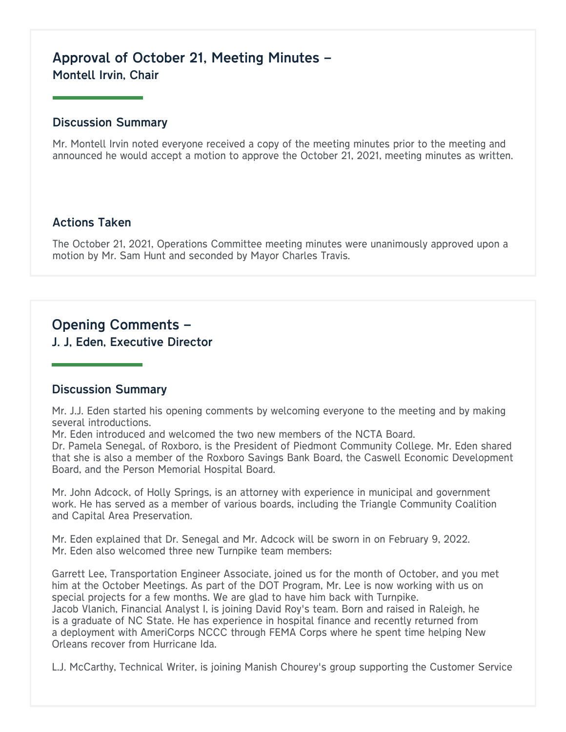## Approval of October 21, Meeting Minutes – Montell Irvin, Chair

#### Discussion Summary

Mr. Montell Irvin noted everyone received a copy of the meeting minutes prior to the meeting and announced he would accept a motion to approve the October 21, 2021, meeting minutes as written.

#### Actions Taken

The October 21, 2021, Operations Committee meeting minutes were unanimously approved upon a motion by Mr. Sam Hunt and seconded by Mayor Charles Travis.

## Opening Comments –

J. J, Eden, Executive Director

#### Discussion Summary

Mr. J.J. Eden started his opening comments by welcoming everyone to the meeting and by making several introductions.

Mr. Eden introduced and welcomed the two new members of the NCTA Board.

Dr. Pamela Senegal, of Roxboro, is the President of Piedmont Community College. Mr. Eden shared that she is also a member of the Roxboro Savings Bank Board, the Caswell Economic Development Board, and the Person Memorial Hospital Board.

Mr. John Adcock, of Holly Springs, is an attorney with experience in municipal and government work. He has served as a member of various boards, including the Triangle Community Coalition and Capital Area Preservation.

Mr. Eden explained that Dr. Senegal and Mr. Adcock will be sworn in on February 9, 2022. Mr. Eden also welcomed three new Turnpike team members:

Garrett Lee, Transportation Engineer Associate, joined us for the month of October, and you met him at the October Meetings. As part of the DOT Program, Mr. Lee is now working with us on special projects for a few months. We are glad to have him back with Turnpike. Jacob Vlanich, Financial Analyst I, is joining David Roy's team. Born and raised in Raleigh, he is a graduate of NC State. He has experience in hospital finance and recently returned from a deployment with AmeriCorps NCCC through FEMA Corps where he spent time helping New Orleans recover from Hurricane Ida.

L.J. McCarthy, Technical Writer, is joining Manish Chourey's group supporting the Customer Service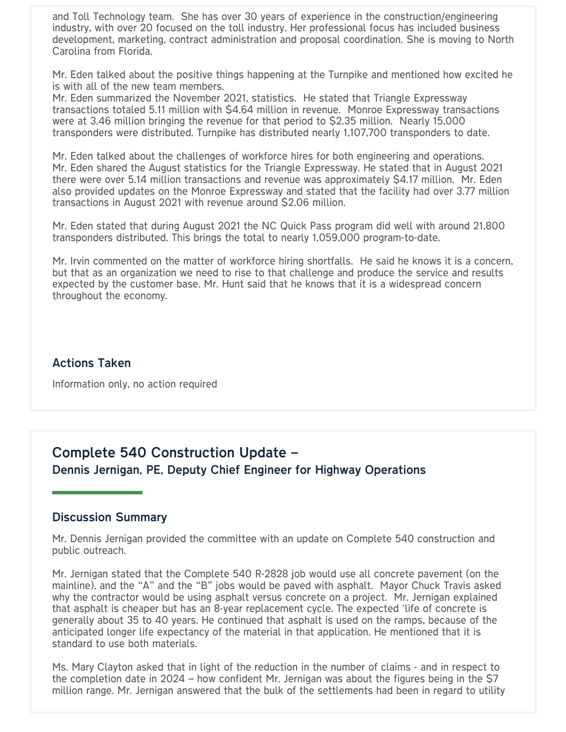and Toll Technology team. She has over 30 years of experience in the construction/engineering industry, with over 20 focused on the toll industry. Her professional focus has included business development, marketing, contract administration and proposal coordination. She is moving to North Carolina from Florida.

Mr. Eden talked about the positive things happening at the Turnpike and mentioned how excited he is with all of the new team members.

Mr. Eden summarized the November 2021, statistics. He stated that Triangle Expressway transactions totaled 5.11 million with \$4.64 million in revenue. Monroe Expressway transactions were at 3.46 million bringing the revenue for that period to \$2.35 million. Nearly 15,000 transponders were distributed. Turnpike has distributed nearly 1,107,700 transponders to date.

Mr. Eden talked about the challenges of workforce hires for both engineering and operations. Mr. Eden shared the August statistics for the Triangle Expressway. He stated that in August 2021 there were over 5.14 million transactions and revenue was approximately \$4.17 million. Mr. Eden also provided updates on the Monroe Expressway and stated that the facility had over 3.77 million transactions in August 2021 with revenue around \$2.06 million.

Mr. Eden stated that during August 2021 the NC Quick Pass program did well with around 21,800 transponders distributed. This brings the total to nearly 1,059,000 program-to-date.

Mr. Irvin commented on the matter of workforce hiring shortfalls. He said he knows it is a concern, but that as an organization we need to rise to that challenge and produce the service and results expected by the customer base. Mr. Hunt said that he knows that it is a widespread concern throughout the economy.

#### Actions Taken

Information only, no action required

## Complete 540 Construction Update – Dennis Jernigan, PE, Deputy Chief Engineer for Highway Operations

#### Discussion Summary

Mr. Dennis Jernigan provided the committee with an update on Complete 540 construction and public outreach.

Mr. Jernigan stated that the Complete 540 R-2828 job would use all concrete pavement (on the mainline), and the "A" and the "B" jobs would be paved with asphalt. Mayor Chuck Travis asked why the contractor would be using asphalt versus concrete on a project. Mr. Jernigan explained that asphalt is cheaper but has an 8-year replacement cycle. The expected 'life of concrete is generally about 35 to 40 years. He continued that asphalt is used on the ramps, because of the anticipated longer life expectancy of the material in that application. He mentioned that it is standard to use both materials.

Ms. Mary Clayton asked that in light of the reduction in the number of claims - and in respect to the completion date in 2024 – how confident Mr. Jernigan was about the figures being in the \$7 million range. Mr. Jernigan answered that the bulk of the settlements had been in regard to utility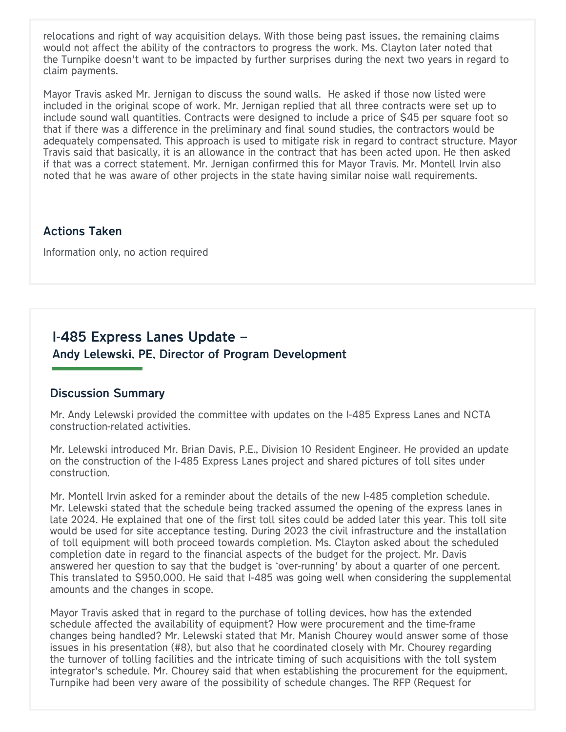relocations and right of way acquisition delays. With those being past issues, the remaining claims would not affect the ability of the contractors to progress the work. Ms. Clayton later noted that the Turnpike doesn't want to be impacted by further surprises during the next two years in regard to claim payments.

Mayor Travis asked Mr. Jernigan to discuss the sound walls. He asked if those now listed were included in the original scope of work. Mr. Jernigan replied that all three contracts were set up to include sound wall quantities. Contracts were designed to include a price of \$45 per square foot so that if there was a difference in the preliminary and final sound studies, the contractors would be adequately compensated. This approach is used to mitigate risk in regard to contract structure. Mayor Travis said that basically, it is an allowance in the contract that has been acted upon. He then asked if that was a correct statement. Mr. Jernigan confirmed this for Mayor Travis. Mr. Montell Irvin also noted that he was aware of other projects in the state having similar noise wall requirements.

#### Actions Taken

Information only, no action required

## I-485 Express Lanes Update – Andy Lelewski, PE, Director of Program Development

#### Discussion Summary

Mr. Andy Lelewski provided the committee with updates on the I-485 Express Lanes and NCTA construction-related activities.

Mr. Lelewski introduced Mr. Brian Davis, P.E., Division 10 Resident Engineer. He provided an update on the construction of the I-485 Express Lanes project and shared pictures of toll sites under construction.

Mr. Montell Irvin asked for a reminder about the details of the new I-485 completion schedule. Mr. Lelewski stated that the schedule being tracked assumed the opening of the express lanes in late 2024. He explained that one of the first toll sites could be added later this year. This toll site would be used for site acceptance testing. During 2023 the civil infrastructure and the installation of toll equipment will both proceed towards completion. Ms. Clayton asked about the scheduled completion date in regard to the financial aspects of the budget for the project. Mr. Davis answered her question to say that the budget is 'over-running' by about a quarter of one percent. This translated to \$950,000. He said that I-485 was going well when considering the supplemental amounts and the changes in scope.

Mayor Travis asked that in regard to the purchase of tolling devices, how has the extended schedule affected the availability of equipment? How were procurement and the time-frame changes being handled? Mr. Lelewski stated that Mr. Manish Chourey would answer some of those issues in his presentation (#8), but also that he coordinated closely with Mr. Chourey regarding the turnover of tolling facilities and the intricate timing of such acquisitions with the toll system integrator's schedule. Mr. Chourey said that when establishing the procurement for the equipment, Turnpike had been very aware of the possibility of schedule changes. The RFP (Request for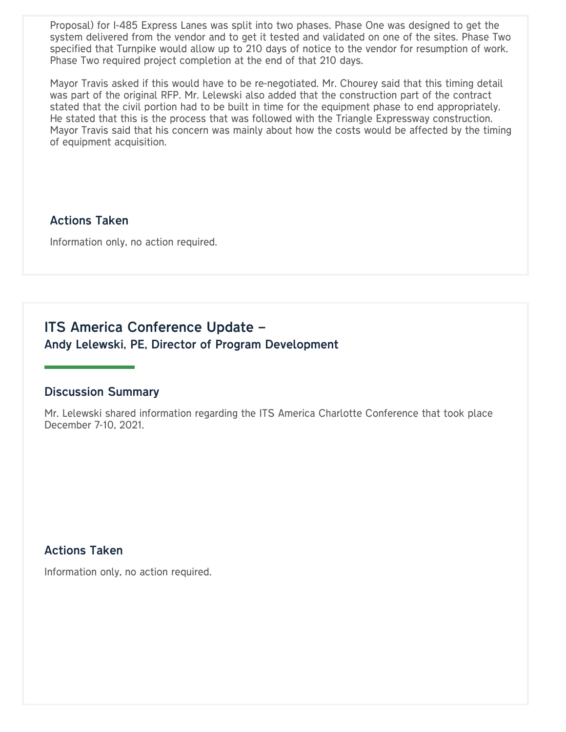Proposal) for I-485 Express Lanes was split into two phases. Phase One was designed to get the system delivered from the vendor and to get it tested and validated on one of the sites. Phase Two specified that Turnpike would allow up to 210 days of notice to the vendor for resumption of work. Phase Two required project completion at the end of that 210 days.

Mayor Travis asked if this would have to be re-negotiated. Mr. Chourey said that this timing detail was part of the original RFP. Mr. Lelewski also added that the construction part of the contract stated that the civil portion had to be built in time for the equipment phase to end appropriately. He stated that this is the process that was followed with the Triangle Expressway construction. Mayor Travis said that his concern was mainly about how the costs would be affected by the timing of equipment acquisition.

#### Actions Taken

Information only, no action required.

## ITS America Conference Update – Andy Lelewski, PE, Director of Program Development

#### Discussion Summary

Mr. Lelewski shared information regarding the ITS America Charlotte Conference that took place December 7-10, 2021.

#### Actions Taken

Information only, no action required.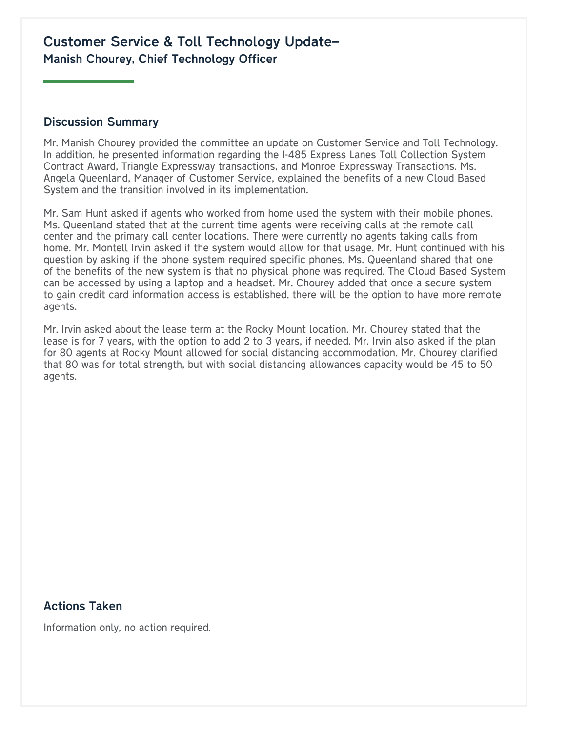## Customer Service & Toll Technology Update– Manish Chourey, Chief Technology Officer

#### Discussion Summary

Mr. Manish Chourey provided the committee an update on Customer Service and Toll Technology. In addition, he presented information regarding the I-485 Express Lanes Toll Collection System Contract Award, Triangle Expressway transactions, and Monroe Expressway Transactions. Ms. Angela Queenland, Manager of Customer Service, explained the benefits of a new Cloud Based System and the transition involved in its implementation.

Mr. Sam Hunt asked if agents who worked from home used the system with their mobile phones. Ms. Queenland stated that at the current time agents were receiving calls at the remote call center and the primary call center locations. There were currently no agents taking calls from home. Mr. Montell Irvin asked if the system would allow for that usage. Mr. Hunt continued with his question by asking if the phone system required specific phones. Ms. Queenland shared that one of the benefits of the new system is that no physical phone was required. The Cloud Based System can be accessed by using a laptop and a headset. Mr. Chourey added that once a secure system to gain credit card information access is established, there will be the option to have more remote agents.

Mr. Irvin asked about the lease term at the Rocky Mount location. Mr. Chourey stated that the lease is for 7 years, with the option to add 2 to 3 years, if needed. Mr. Irvin also asked if the plan for 80 agents at Rocky Mount allowed for social distancing accommodation. Mr. Chourey clarified that 80 was for total strength, but with social distancing allowances capacity would be 45 to 50 agents.

#### Actions Taken

Information only, no action required.